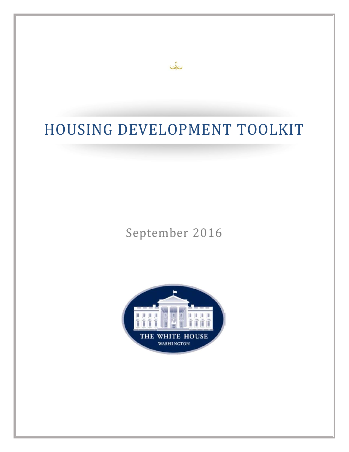# HOUSING DEVELOPMENT TOOLKIT

Jo

# September 2016

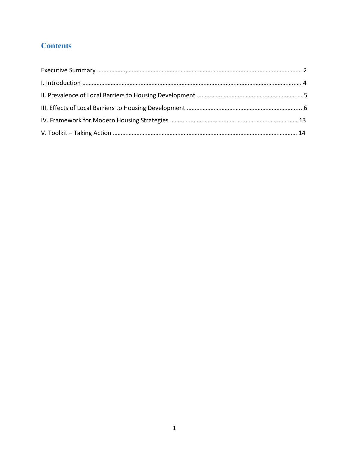# **Contents**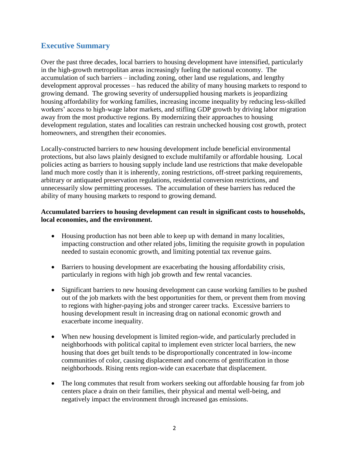# **Executive Summary**

Over the past three decades, local barriers to housing development have intensified, particularly in the high-growth metropolitan areas increasingly fueling the national economy. The accumulation of such barriers – including zoning, other land use regulations, and lengthy development approval processes – has reduced the ability of many housing markets to respond to growing demand. The growing severity of undersupplied housing markets is jeopardizing housing affordability for working families, increasing income inequality by reducing less-skilled workers' access to high-wage labor markets, and stifling GDP growth by driving labor migration away from the most productive regions. By modernizing their approaches to housing development regulation, states and localities can restrain unchecked housing cost growth, protect homeowners, and strengthen their economies.

Locally-constructed barriers to new housing development include beneficial environmental protections, but also laws plainly designed to exclude multifamily or affordable housing. Local policies acting as barriers to housing supply include land use restrictions that make developable land much more costly than it is inherently, zoning restrictions, off-street parking requirements, arbitrary or antiquated preservation regulations, residential conversion restrictions, and unnecessarily slow permitting processes. The accumulation of these barriers has reduced the ability of many housing markets to respond to growing demand.

#### **Accumulated barriers to housing development can result in significant costs to households, local economies, and the environment.**

- Housing production has not been able to keep up with demand in many localities, impacting construction and other related jobs, limiting the requisite growth in population needed to sustain economic growth, and limiting potential tax revenue gains.
- Barriers to housing development are exacerbating the housing affordability crisis, particularly in regions with high job growth and few rental vacancies.
- Significant barriers to new housing development can cause working families to be pushed out of the job markets with the best opportunities for them, or prevent them from moving to regions with higher-paying jobs and stronger career tracks. Excessive barriers to housing development result in increasing drag on national economic growth and exacerbate income inequality.
- When new housing development is limited region-wide, and particularly precluded in neighborhoods with political capital to implement even stricter local barriers, the new housing that does get built tends to be disproportionally concentrated in low-income communities of color, causing displacement and concerns of gentrification in those neighborhoods. Rising rents region-wide can exacerbate that displacement.
- The long commutes that result from workers seeking out affordable housing far from job centers place a drain on their families, their physical and mental well-being, and negatively impact the environment through increased gas emissions.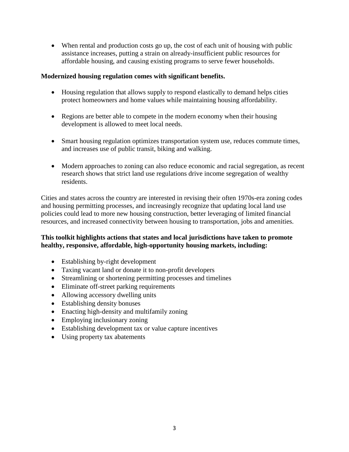When rental and production costs go up, the cost of each unit of housing with public assistance increases, putting a strain on already-insufficient public resources for affordable housing, and causing existing programs to serve fewer households.

#### **Modernized housing regulation comes with significant benefits.**

- Housing regulation that allows supply to respond elastically to demand helps cities protect homeowners and home values while maintaining housing affordability.
- Regions are better able to compete in the modern economy when their housing development is allowed to meet local needs.
- Smart housing regulation optimizes transportation system use, reduces commute times, and increases use of public transit, biking and walking.
- Modern approaches to zoning can also reduce economic and racial segregation, as recent research shows that strict land use regulations drive income segregation of wealthy residents.

Cities and states across the country are interested in revising their often 1970s-era zoning codes and housing permitting processes, and increasingly recognize that updating local land use policies could lead to more new housing construction, better leveraging of limited financial resources, and increased connectivity between housing to transportation, jobs and amenities.

#### **This toolkit highlights actions that states and local jurisdictions have taken to promote healthy, responsive, affordable, high-opportunity housing markets, including:**

- Establishing by-right development
- Taxing vacant land or donate it to non-profit developers
- Streamlining or shortening permitting processes and timelines
- Eliminate off-street parking requirements
- Allowing accessory dwelling units
- Establishing density bonuses
- Enacting high-density and multifamily zoning
- Employing inclusionary zoning
- Establishing development tax or value capture incentives
- Using property tax abatements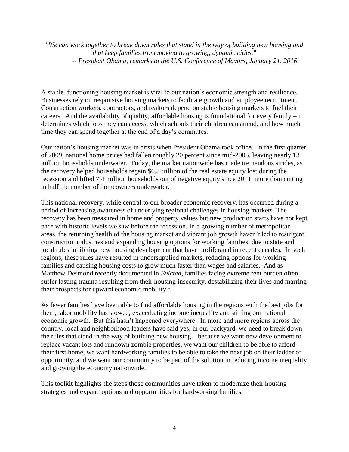*"We can work together to break down rules that stand in the way of building new housing and that keep families from moving to growing, dynamic cities." -- President Obama, remarks to the U.S. Conference of Mayors, January 21, 2016*

A stable, functioning housing market is vital to our nation's economic strength and resilience. Businesses rely on responsive housing markets to facilitate growth and employee recruitment. Construction workers, contractors, and realtors depend on stable housing markets to fuel their careers. And the availability of quality, affordable housing is foundational for every family – it determines which jobs they can access, which schools their children can attend, and how much time they can spend together at the end of a day's commutes.

Our nation's housing market was in crisis when President Obama took office. In the first quarter of 2009, national home prices had fallen roughly 20 percent since mid-2005, leaving nearly 13 million households underwater. Today, the market nationwide has made tremendous strides, as the recovery helped households regain \$6.3 trillion of the real estate equity lost during the recession and lifted 7.4 million households out of negative equity since 2011, more than cutting in half the number of homeowners underwater.

This national recovery, while central to our broader economic recovery, has occurred during a period of increasing awareness of underlying regional challenges in housing markets. The recovery has been measured in home and property values but new production starts have not kept pace with historic levels we saw before the recession. In a growing number of metropolitan areas, the returning health of the housing market and vibrant job growth haven't led to resurgent construction industries and expanding housing options for working families, due to state and local rules inhibiting new housing development that have proliferated in recent decades. In such regions, these rules have resulted in undersupplied markets, reducing options for working families and causing housing costs to grow much faster than wages and salaries. And as Matthew Desmond recently documented in *Evicted*, families facing extreme rent burden often suffer lasting trauma resulting from their housing insecurity, destabilizing their lives and marring their prospects for upward economic mobility. $<sup>1</sup>$ </sup>

As fewer families have been able to find affordable housing in the regions with the best jobs for them, labor mobility has slowed, exacerbating income inequality and stifling our national economic growth. But this hasn't happened everywhere. In more and more regions across the country, local and neighborhood leaders have said yes, in our backyard, we need to break down the rules that stand in the way of building new housing – because we want new development to replace vacant lots and rundown zombie properties, we want our children to be able to afford their first home, we want hardworking families to be able to take the next job on their ladder of opportunity, and we want our community to be part of the solution in reducing income inequality and growing the economy nationwide.

This toolkit highlights the steps those communities have taken to modernize their housing strategies and expand options and opportunities for hardworking families.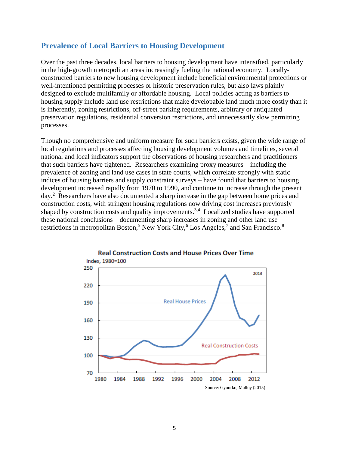#### **Prevalence of Local Barriers to Housing Development**

Over the past three decades, local barriers to housing development have intensified, particularly in the high-growth metropolitan areas increasingly fueling the national economy. Locallyconstructed barriers to new housing development include beneficial environmental protections or well-intentioned permitting processes or historic preservation rules, but also laws plainly designed to exclude multifamily or affordable housing. Local policies acting as barriers to housing supply include land use restrictions that make developable land much more costly than it is inherently, zoning restrictions, off-street parking requirements, arbitrary or antiquated preservation regulations, residential conversion restrictions, and unnecessarily slow permitting processes.

Though no comprehensive and uniform measure for such barriers exists, given the wide range of local regulations and processes affecting housing development volumes and timelines, several national and local indicators support the observations of housing researchers and practitioners that such barriers have tightened. Researchers examining proxy measures – including the prevalence of zoning and land use cases in state courts, which correlate strongly with static indices of housing barriers and supply constraint surveys – have found that barriers to housing development increased rapidly from 1970 to 1990, and continue to increase through the present day.<sup>2</sup> Researchers have also documented a sharp increase in the gap between home prices and construction costs, with stringent housing regulations now driving cost increases previously shaped by construction costs and quality improvements.<sup>3,4</sup> Localized studies have supported these national conclusions – documenting sharp increases in zoning and other land use restrictions in metropolitan Boston,<sup>5</sup> New York City,<sup>6</sup> Los Angeles,<sup>7</sup> and San Francisco.<sup>8</sup>



**Real Construction Costs and House Prices Over Time**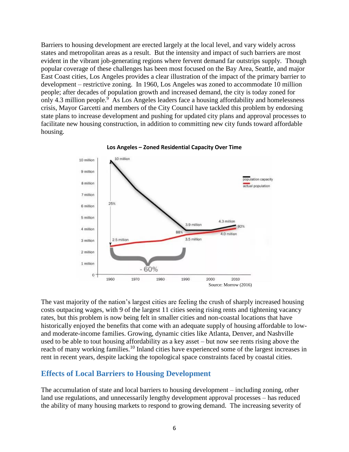Barriers to housing development are erected largely at the local level, and vary widely across states and metropolitan areas as a result. But the intensity and impact of such barriers are most evident in the vibrant job-generating regions where fervent demand far outstrips supply. Though popular coverage of these challenges has been most focused on the Bay Area, Seattle, and major East Coast cities, Los Angeles provides a clear illustration of the impact of the primary barrier to development – restrictive zoning. In 1960, Los Angeles was zoned to accommodate 10 million people; after decades of population growth and increased demand, the city is today zoned for only 4.3 million people.<sup>9</sup> As Los Angeles leaders face a housing affordability and homelessness crisis, Mayor Garcetti and members of the City Council have tackled this problem by endorsing state plans to increase development and pushing for updated city plans and approval processes to facilitate new housing construction, in addition to committing new city funds toward affordable housing.





The vast majority of the nation's largest cities are feeling the crush of sharply increased housing costs outpacing wages, with 9 of the largest 11 cities seeing rising rents and tightening vacancy rates, but this problem is now being felt in smaller cities and non-coastal locations that have historically enjoyed the benefits that come with an adequate supply of housing affordable to lowand moderate-income families. Growing, dynamic cities like Atlanta, Denver, and Nashville used to be able to tout housing affordability as a key asset – but now see rents rising above the reach of many working families.<sup>10</sup> Inland cities have experienced some of the largest increases in rent in recent years, despite lacking the topological space constraints faced by coastal cities.

#### **Effects of Local Barriers to Housing Development**

The accumulation of state and local barriers to housing development – including zoning, other land use regulations, and unnecessarily lengthy development approval processes – has reduced the ability of many housing markets to respond to growing demand. The increasing severity of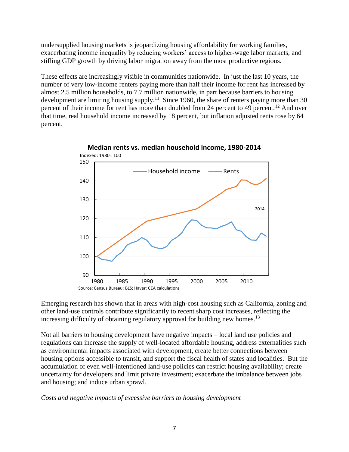undersupplied housing markets is jeopardizing housing affordability for working families, exacerbating income inequality by reducing workers' access to higher-wage labor markets, and stifling GDP growth by driving labor migration away from the most productive regions.

These effects are increasingly visible in communities nationwide. In just the last 10 years, the number of very low-income renters paying more than half their income for rent has increased by almost 2.5 million households, to 7.7 million nationwide, in part because barriers to housing development are limiting housing supply.<sup>11</sup> Since 1960, the share of renters paying more than 30 percent of their income for rent has more than doubled from 24 percent to 49 percent.<sup>12</sup> And over that time, real household income increased by 18 percent, but inflation adjusted rents rose by 64 percent.



**Median rents vs. median household income, 1980-2014**

Emerging research has shown that in areas with high-cost housing such as California, zoning and other land-use controls contribute significantly to recent sharp cost increases, reflecting the increasing difficulty of obtaining regulatory approval for building new homes.<sup>13</sup>

Not all barriers to housing development have negative impacts – local land use policies and regulations can increase the supply of well-located affordable housing, address externalities such as environmental impacts associated with development, create better connections between housing options accessible to transit, and support the fiscal health of states and localities. But the accumulation of even well-intentioned land-use policies can restrict housing availability; create uncertainty for developers and limit private investment; exacerbate the imbalance between jobs and housing; and induce urban sprawl.

#### *Costs and negative impacts of excessive barriers to housing development*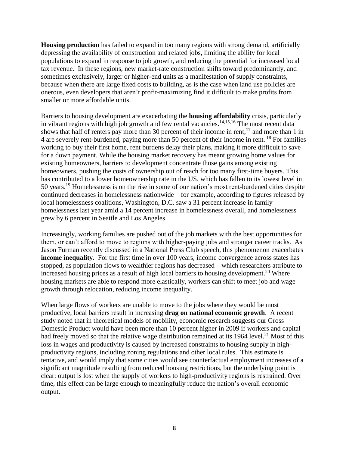**Housing production** has failed to expand in too many regions with strong demand, artificially depressing the availability of construction and related jobs, limiting the ability for local populations to expand in response to job growth, and reducing the potential for increased local tax revenue. In these regions, new market-rate construction shifts toward predominantly, and sometimes exclusively, larger or higher-end units as a manifestation of supply constraints, because when there are large fixed costs to building, as is the case when land use policies are onerous, even developers that aren't profit-maximizing find it difficult to make profits from smaller or more affordable units.

Barriers to housing development are exacerbating the **housing affordability** crisis, particularly in vibrant regions with high job growth and few rental vacancies.<sup>14,15,16</sup> The most recent data shows that half of renters pay more than 30 percent of their income in rent,  $17$  and more than 1 in 4 are severely rent-burdened, paying more than 50 percent of their income in rent. <sup>18</sup> For families working to buy their first home, rent burdens delay their plans, making it more difficult to save for a down payment. While the housing market recovery has meant growing home values for existing homeowners, barriers to development concentrate those gains among existing homeowners, pushing the costs of ownership out of reach for too many first-time buyers. This has contributed to a lower homeownership rate in the US, which has fallen to its lowest level in 50 years.<sup>19</sup> Homelessness is on the rise in some of our nation's most rent-burdened cities despite continued decreases in homelessness nationwide – for example, according to figures released by local homelessness coalitions, Washington, D.C. saw a 31 percent increase in family homelessness last year amid a 14 percent increase in homelessness overall, and homelessness grew by 6 percent in Seattle and Los Angeles.

Increasingly, working families are pushed out of the job markets with the best opportunities for them, or can't afford to move to regions with higher-paying jobs and stronger career tracks. As Jason Furman recently discussed in a National Press Club speech, this phenomenon exacerbates **income inequality**. For the first time in over 100 years, income convergence across states has stopped, as population flows to wealthier regions has decreased – which researchers attribute to increased housing prices as a result of high local barriers to housing development.<sup>20</sup> Where housing markets are able to respond more elastically, workers can shift to meet job and wage growth through relocation, reducing income inequality.

When large flows of workers are unable to move to the jobs where they would be most productive, local barriers result in increasing **drag on national economic growth**. A recent study noted that in theoretical models of mobility, economic research suggests our Gross Domestic Product would have been more than 10 percent higher in 2009 if workers and capital had freely moved so that the relative wage distribution remained at its 1964 level.<sup>21</sup> Most of this loss in wages and productivity is caused by increased constraints to housing supply in highproductivity regions, including zoning regulations and other local rules. This estimate is tentative, and would imply that some cities would see counterfactual employment increases of a significant magnitude resulting from reduced housing restrictions, but the underlying point is clear: output is lost when the supply of workers to high-productivity regions is restrained. Over time, this effect can be large enough to meaningfully reduce the nation's overall economic output.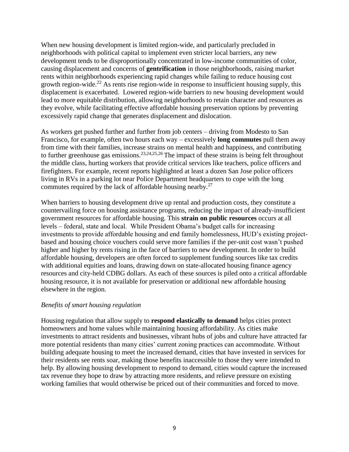When new housing development is limited region-wide, and particularly precluded in neighborhoods with political capital to implement even stricter local barriers, any new development tends to be disproportionally concentrated in low-income communities of color, causing displacement and concerns of **gentrification** in those neighborhoods, raising market rents within neighborhoods experiencing rapid changes while failing to reduce housing cost growth region-wide.<sup>22</sup> As rents rise region-wide in response to insufficient housing supply, this displacement is exacerbated. Lowered region-wide barriers to new housing development would lead to more equitable distribution, allowing neighborhoods to retain character and resources as they evolve, while facilitating effective affordable housing preservation options by preventing excessively rapid change that generates displacement and dislocation.

As workers get pushed further and further from job centers – driving from Modesto to San Francisco, for example, often two hours each way – excessively **long commutes** pull them away from time with their families, increase strains on mental health and happiness, and contributing to further greenhouse gas emissions.<sup>23,24,25,26</sup> The impact of these strains is being felt throughout the middle class, hurting workers that provide critical services like teachers, police officers and firefighters. For example, recent reports highlighted at least a dozen San Jose police officers living in RVs in a parking lot near Police Department headquarters to cope with the long commutes required by the lack of affordable housing nearby.<sup>27</sup>

When barriers to housing development drive up rental and production costs, they constitute a countervailing force on housing assistance programs, reducing the impact of already-insufficient government resources for affordable housing. This **strain on public resources** occurs at all levels – federal, state and local. While President Obama's budget calls for increasing investments to provide affordable housing and end family homelessness, HUD's existing projectbased and housing choice vouchers could serve more families if the per-unit cost wasn't pushed higher and higher by rents rising in the face of barriers to new development. In order to build affordable housing, developers are often forced to supplement funding sources like tax credits with additional equities and loans, drawing down on state-allocated housing finance agency resources and city-held CDBG dollars. As each of these sources is piled onto a critical affordable housing resource, it is not available for preservation or additional new affordable housing elsewhere in the region.

#### *Benefits of smart housing regulation*

Housing regulation that allow supply to **respond elastically to demand** helps cities protect homeowners and home values while maintaining housing affordability. As cities make investments to attract residents and businesses, vibrant hubs of jobs and culture have attracted far more potential residents than many cities' current zoning practices can accommodate. Without building adequate housing to meet the increased demand, cities that have invested in services for their residents see rents soar, making those benefits inaccessible to those they were intended to help. By allowing housing development to respond to demand, cities would capture the increased tax revenue they hope to draw by attracting more residents, and relieve pressure on existing working families that would otherwise be priced out of their communities and forced to move.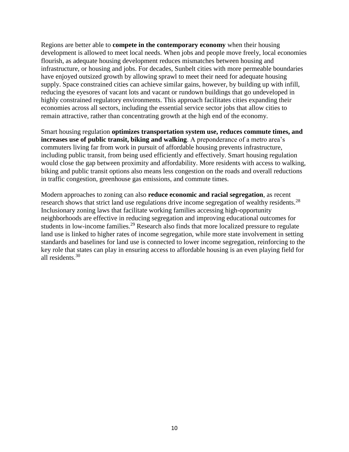Regions are better able to **compete in the contemporary economy** when their housing development is allowed to meet local needs. When jobs and people move freely, local economies flourish, as adequate housing development reduces mismatches between housing and infrastructure, or housing and jobs. For decades, Sunbelt cities with more permeable boundaries have enjoyed outsized growth by allowing sprawl to meet their need for adequate housing supply. Space constrained cities can achieve similar gains, however, by building up with infill, reducing the eyesores of vacant lots and vacant or rundown buildings that go undeveloped in highly constrained regulatory environments. This approach facilitates cities expanding their economies across all sectors, including the essential service sector jobs that allow cities to remain attractive, rather than concentrating growth at the high end of the economy.

Smart housing regulation **optimizes transportation system use, reduces commute times, and increases use of public transit, biking and walking**. A preponderance of a metro area's commuters living far from work in pursuit of affordable housing prevents infrastructure, including public transit, from being used efficiently and effectively. Smart housing regulation would close the gap between proximity and affordability. More residents with access to walking, biking and public transit options also means less congestion on the roads and overall reductions in traffic congestion, greenhouse gas emissions, and commute times.

Modern approaches to zoning can also **reduce economic and racial segregation**, as recent research shows that strict land use regulations drive income segregation of wealthy residents.<sup>28</sup> Inclusionary zoning laws that facilitate working families accessing high-opportunity neighborhoods are effective in reducing segregation and improving educational outcomes for students in low-income families.<sup>29</sup> Research also finds that more localized pressure to regulate land use is linked to higher rates of income segregation, while more state involvement in setting standards and baselines for land use is connected to lower income segregation, reinforcing to the key role that states can play in ensuring access to affordable housing is an even playing field for all residents.<sup>30</sup>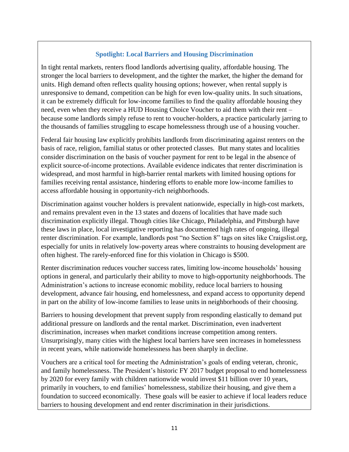#### **Spotlight: Local Barriers and Housing Discrimination**

In tight rental markets, renters flood landlords advertising quality, affordable housing. The stronger the local barriers to development, and the tighter the market, the higher the demand for units. High demand often reflects quality housing options; however, when rental supply is unresponsive to demand, competition can be high for even low-quality units. In such situations, it can be extremely difficult for low-income families to find the quality affordable housing they need, even when they receive a HUD Housing Choice Voucher to aid them with their rent – because some landlords simply refuse to rent to voucher-holders, a practice particularly jarring to the thousands of families struggling to escape homelessness through use of a housing voucher.

Federal fair housing law explicitly prohibits landlords from discriminating against renters on the basis of race, religion, familial status or other protected classes. But many states and localities consider discrimination on the basis of voucher payment for rent to be legal in the absence of explicit source-of-income protections. Available evidence indicates that renter discrimination is widespread, and most harmful in high-barrier rental markets with limited housing options for families receiving rental assistance, hindering efforts to enable more low-income families to access affordable housing in opportunity-rich neighborhoods.

Discrimination against voucher holders is prevalent nationwide, especially in high-cost markets, and remains prevalent even in the 13 states and dozens of localities that have made such discrimination explicitly illegal. Though cities like Chicago, Philadelphia, and Pittsburgh have these laws in place, local investigative reporting has documented high rates of ongoing, illegal renter discrimination. For example, landlords post "no Section 8" tags on sites like Craigslist.org, especially for units in relatively low-poverty areas where constraints to housing development are often highest. The rarely-enforced fine for this violation in Chicago is \$500.

Renter discrimination reduces voucher success rates, limiting low-income households' housing options in general, and particularly their ability to move to high-opportunity neighborhoods. The Administration's actions to increase economic mobility, reduce local barriers to housing development, advance fair housing, end homelessness, and expand access to opportunity depend in part on the ability of low-income families to lease units in neighborhoods of their choosing.

Barriers to housing development that prevent supply from responding elastically to demand put additional pressure on landlords and the rental market. Discrimination, even inadvertent discrimination, increases when market conditions increase competition among renters. Unsurprisingly, many cities with the highest local barriers have seen increases in homelessness in recent years, while nationwide homelessness has been sharply in decline.

Vouchers are a critical tool for meeting the Administration's goals of ending veteran, chronic, and family homelessness. The President's historic FY 2017 budget proposal to end homelessness by 2020 for every family with children nationwide would invest \$11 billion over 10 years, primarily in vouchers, to end families' homelessness, stabilize their housing, and give them a foundation to succeed economically. These goals will be easier to achieve if local leaders reduce barriers to housing development and end renter discrimination in their jurisdictions.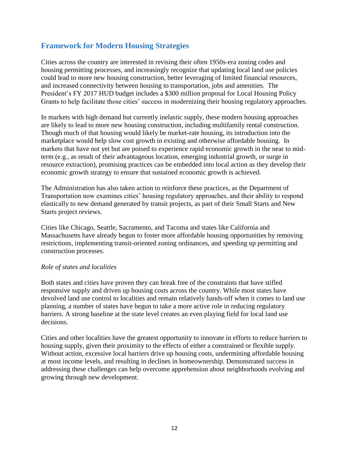# **Framework for Modern Housing Strategies**

Cities across the country are interested in revising their often 1950s-era zoning codes and housing permitting processes, and increasingly recognize that updating local land use policies could lead to more new housing construction, better leveraging of limited financial resources, and increased connectivity between housing to transportation, jobs and amenities. The President's FY 2017 HUD budget includes a \$300 million proposal for Local Housing Policy Grants to help facilitate those cities' success in modernizing their housing regulatory approaches.

In markets with high demand but currently inelastic supply, these modern housing approaches are likely to lead to more new housing construction, including multifamily rental construction. Though much of that housing would likely be market-rate housing, its introduction into the marketplace would help slow cost growth in existing and otherwise affordable housing. In markets that have not yet but are poised to experience rapid economic growth in the near to midterm (e.g., as result of their advantageous location, emerging industrial growth, or surge in resource extraction), promising practices can be embedded into local action as they develop their economic growth strategy to ensure that sustained economic growth is achieved.

The Administration has also taken action to reinforce these practices, as the Department of Transportation now examines cities' housing regulatory approaches, and their ability to respond elastically to new demand generated by transit projects, as part of their Small Starts and New Starts project reviews.

Cities like Chicago, Seattle, Sacramento, and Tacoma and states like California and Massachusetts have already begun to foster more affordable housing opportunities by removing restrictions, implementing transit-oriented zoning ordinances, and speeding up permitting and construction processes.

#### *Role of states and localities*

Both states and cities have proven they can break free of the constraints that have stifled responsive supply and driven up housing costs across the country. While most states have devolved land use control to localities and remain relatively hands-off when it comes to land use planning, a number of states have begun to take a more active role in reducing regulatory barriers. A strong baseline at the state level creates an even playing field for local land use decisions.

Cities and other localities have the greatest opportunity to innovate in efforts to reduce barriers to housing supply, given their proximity to the effects of either a constrained or flexible supply. Without action, excessive local barriers drive up housing costs, undermining affordable housing at most income levels, and resulting in declines in homeownership. Demonstrated success in addressing these challenges can help overcome apprehension about neighborhoods evolving and growing through new development.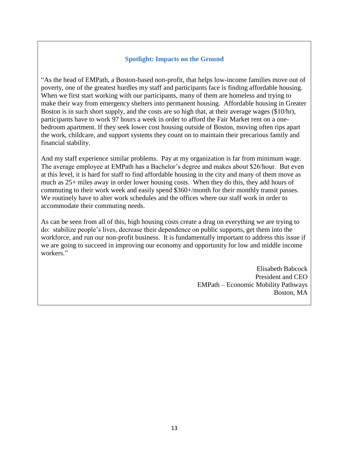#### **Spotlight: Impacts on the Ground**

"As the head of EMPath, a Boston-based non-profit, that helps low-income families move out of poverty, one of the greatest hurdles my staff and participants face is finding affordable housing. When we first start working with our participants, many of them are homeless and trying to make their way from emergency shelters into permanent housing. Affordable housing in Greater Boston is in such short supply, and the costs are so high that, at their average wages (\$10/hr), participants have to work 97 hours a week in order to afford the Fair Market rent on a onebedroom apartment. If they seek lower cost housing outside of Boston, moving often rips apart the work, childcare, and support systems they count on to maintain their precarious family and financial stability.

And my staff experience similar problems. Pay at my organization is far from minimum wage. The average employee at EMPath has a Bachelor's degree and makes about \$26/hour. But even at this level, it is hard for staff to find affordable housing in the city and many of them move as much as 25+ miles away in order lower housing costs. When they do this, they add hours of commuting to their work week and easily spend \$360+/month for their monthly transit passes. We routinely have to alter work schedules and the offices where our staff work in order to accommodate their commuting needs.

As can be seen from all of this, high housing costs create a drag on everything we are trying to do: stabilize people's lives, decrease their dependence on public supports, get them into the workforce, and run our non-profit business. It is fundamentally important to address this issue if we are going to succeed in improving our economy and opportunity for low and middle income workers."

> Elisabeth Babcock President and CEO EMPath – Economic Mobility Pathways Boston, MA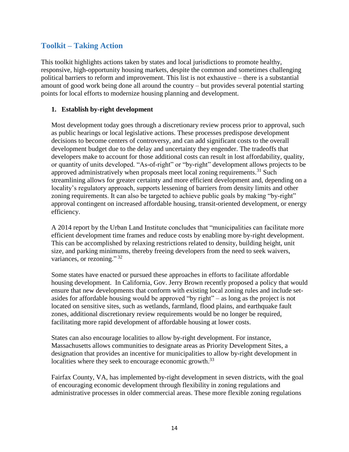# **Toolkit – Taking Action**

This toolkit highlights actions taken by states and local jurisdictions to promote healthy, responsive, high-opportunity housing markets, despite the common and sometimes challenging political barriers to reform and improvement. This list is not exhaustive – there is a substantial amount of good work being done all around the country – but provides several potential starting points for local efforts to modernize housing planning and development.

#### **1. Establish by-right development**

Most development today goes through a discretionary review process prior to approval, such as public hearings or local legislative actions. These processes predispose development decisions to become centers of controversy, and can add significant costs to the overall development budget due to the delay and uncertainty they engender. The tradeoffs that developers make to account for those additional costs can result in lost affordability, quality, or quantity of units developed. "As-of-right" or "by-right" development allows projects to be approved administratively when proposals meet local zoning requirements.<sup>31</sup> Such streamlining allows for greater certainty and more efficient development and, depending on a locality's regulatory approach, supports lessening of barriers from density limits and other zoning requirements. It can also be targeted to achieve public goals by making "by-right" approval contingent on increased affordable housing, transit-oriented development, or energy efficiency.

A 2014 report by the Urban Land Institute concludes that "municipalities can facilitate more efficient development time frames and reduce costs by enabling more by-right development. This can be accomplished by relaxing restrictions related to density, building height, unit size, and parking minimums, thereby freeing developers from the need to seek waivers, variances, or rezoning."<sup>32</sup>

Some states have enacted or pursued these approaches in efforts to facilitate affordable housing development. In California, Gov. Jerry Brown recently proposed a policy that would ensure that new developments that conform with existing local zoning rules and include setasides for affordable housing would be approved "by right" – as long as the project is not located on sensitive sites, such as wetlands, farmland, flood plains, and earthquake fault zones, additional discretionary review requirements would be no longer be required, facilitating more rapid development of affordable housing at lower costs.

States can also encourage localities to allow by-right development. For instance, Massachusetts allows communities to designate areas as Priority Development Sites, a designation that provides an incentive for municipalities to allow by-right development in localities where they seek to encourage economic growth.<sup>33</sup>

Fairfax County, VA, has implemented by-right development in seven districts, with the goal of encouraging economic development through flexibility in zoning regulations and administrative processes in older commercial areas. These more flexible zoning regulations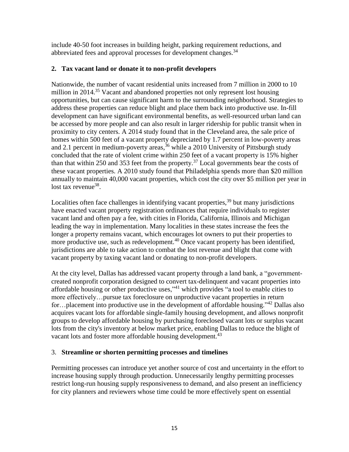include 40-50 foot increases in building height, parking requirement reductions, and abbreviated fees and approval processes for development changes.<sup>34</sup>

#### **2. Tax vacant land or donate it to non-profit developers**

Nationwide, the number of vacant residential units increased from 7 million in 2000 to 10 million in 2014.<sup>35</sup> Vacant and abandoned properties not only represent lost housing opportunities, but can cause significant harm to the surrounding neighborhood. Strategies to address these properties can reduce blight and place them back into productive use. In-fill development can have significant environmental benefits, as well-resourced urban land can be accessed by more people and can also result in larger ridership for public transit when in proximity to city centers. A 2014 study found that in the Cleveland area, the sale price of homes within 500 feet of a vacant property depreciated by 1.7 percent in low-poverty areas and 2.1 percent in medium-poverty areas,<sup>36</sup> while a 2010 University of Pittsburgh study concluded that the rate of violent crime within 250 feet of a vacant property is 15% higher than that within 250 and 353 feet from the property.<sup>37</sup> Local governments bear the costs of these vacant properties. A 2010 study found that Philadelphia spends more than \$20 million annually to maintain 40,000 vacant properties, which cost the city over \$5 million per year in lost tax revenue<sup>38</sup>.

Localities often face challenges in identifying vacant properties,<sup>39</sup> but many jurisdictions have enacted vacant property registration ordinances that require individuals to register vacant land and often pay a fee, with cities in Florida, California, Illinois and Michigan leading the way in implementation. Many localities in these states increase the fees the longer a property remains vacant, which encourages lot owners to put their properties to more productive use, such as redevelopment.<sup>40</sup> Once vacant property has been identified, jurisdictions are able to take action to combat the lost revenue and blight that come with vacant property by taxing vacant land or donating to non-profit developers.

At the city level, Dallas has addressed vacant property through a land bank, a "governmentcreated nonprofit corporation designed to convert tax-delinquent and vacant properties into affordable housing or other productive uses,"<sup>41</sup> which provides "a tool to enable cities to more effectively…pursue tax foreclosure on unproductive vacant properties in return for... placement into productive use in the development of affordable housing."<sup>42</sup> Dallas also acquires vacant lots for affordable single-family housing development, and allows nonprofit groups to develop affordable housing by purchasing foreclosed vacant lots or surplus vacant lots from the city's inventory at below market price, enabling Dallas to reduce the blight of vacant lots and foster more affordable housing development.<sup>43</sup>

#### 3. **Streamline or shorten permitting processes and timelines**

Permitting processes can introduce yet another source of cost and uncertainty in the effort to increase housing supply through production. Unnecessarily lengthy permitting processes restrict long-run housing supply responsiveness to demand, and also present an inefficiency for city planners and reviewers whose time could be more effectively spent on essential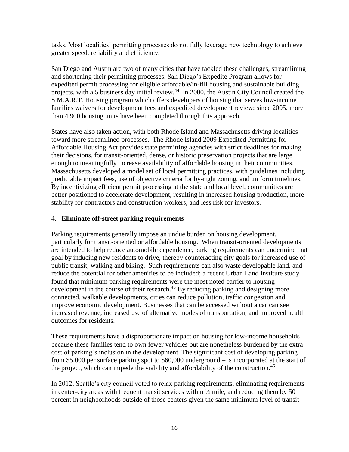tasks. Most localities' permitting processes do not fully leverage new technology to achieve greater speed, reliability and efficiency.

San Diego and Austin are two of many cities that have tackled these challenges, streamlining and shortening their permitting processes. San Diego's Expedite Program allows for expedited permit processing for eligible affordable/in-fill housing and sustainable building projects, with a 5 business day initial review.<sup>44</sup> In 2000, the Austin City Council created the S.M.A.R.T. Housing program which offers developers of housing that serves low-income families waivers for development fees and expedited development review; since 2005, more than 4,900 housing units have been completed through this approach.

States have also taken action, with both Rhode Island and Massachusetts driving localities toward more streamlined processes. The Rhode Island 2009 Expedited Permitting for Affordable Housing Act provides state permitting agencies with strict deadlines for making their decisions, for transit-oriented, dense, or historic preservation projects that are large enough to meaningfully increase availability of affordable housing in their communities. Massachusetts developed a model set of local permitting practices, with guidelines including predictable impact fees, use of objective criteria for by-right zoning, and uniform timelines. By incentivizing efficient permit processing at the state and local level, communities are better positioned to accelerate development, resulting in increased housing production, more stability for contractors and construction workers, and less risk for investors.

#### 4. **Eliminate off-street parking requirements**

Parking requirements generally impose an undue burden on housing development, particularly for transit-oriented or affordable housing. When transit-oriented developments are intended to help reduce automobile dependence, parking requirements can undermine that goal by inducing new residents to drive, thereby counteracting city goals for increased use of public transit, walking and biking. Such requirements can also waste developable land, and reduce the potential for other amenities to be included; a recent Urban Land Institute study found that minimum parking requirements were the most noted barrier to housing development in the course of their research.<sup>45</sup> By reducing parking and designing more connected, walkable developments, cities can reduce pollution, traffic congestion and improve economic development. Businesses that can be accessed without a car can see increased revenue, increased use of alternative modes of transportation, and improved health outcomes for residents.

These requirements have a disproportionate impact on housing for low-income households because these families tend to own fewer vehicles but are nonetheless burdened by the extra cost of parking's inclusion in the development. The significant cost of developing parking – from \$5,000 per surface parking spot to \$60,000 underground – is incorporated at the start of the project, which can impede the viability and affordability of the construction.<sup>46</sup>

In 2012, Seattle's city council voted to relax parking requirements, eliminating requirements in center-city areas with frequent transit services within  $\frac{1}{4}$  mile, and reducing them by 50 percent in neighborhoods outside of those centers given the same minimum level of transit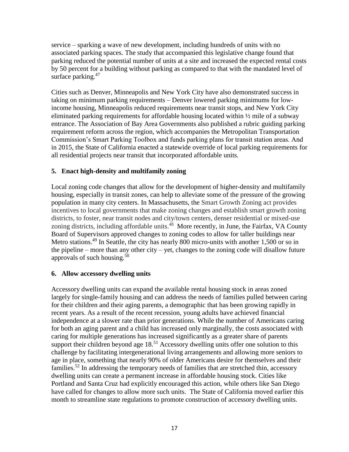service – sparking a wave of new development, including hundreds of units with no associated parking spaces. The study that accompanied this legislative change found that parking reduced the potential number of units at a site and increased the expected rental costs by 50 percent for a building without parking as compared to that with the mandated level of surface parking.<sup>47</sup>

Cities such as Denver, Minneapolis and New York City have also demonstrated success in taking on minimum parking requirements – Denver lowered parking minimums for lowincome housing, Minneapolis reduced requirements near transit stops, and New York City eliminated parking requirements for affordable housing located within  $\frac{1}{2}$  mile of a subway entrance. The Association of Bay Area Governments also published a rubric guiding parking requirement reform across the region, which accompanies the Metropolitan Transportation Commission's Smart Parking Toolbox and funds parking plans for transit station areas. And in 2015, the State of California enacted a statewide override of local parking requirements for all residential projects near transit that incorporated affordable units.

#### **5. Enact high-density and multifamily zoning**

Local zoning code changes that allow for the development of higher-density and multifamily housing, especially in transit zones, can help to alleviate some of the pressure of the growing population in many city centers. In Massachusetts, the Smart Growth Zoning act provides incentives to local governments that make zoning changes and establish smart growth zoning districts, to foster, near transit nodes and city/town centers, denser residential or mixed-use zoning districts, including affordable units.<sup>48</sup> More recently, in June, the Fairfax, VA County Board of Supervisors approved changes to zoning codes to allow for taller buildings near Metro stations.<sup>49</sup> In Seattle, the city has nearly 800 micro-units with another 1,500 or so in the pipeline – more than any other city – yet, changes to the zoning code will disallow future approvals of such housing.<sup>50</sup>

#### **6. Allow accessory dwelling units**

Accessory dwelling units can expand the available rental housing stock in areas zoned largely for single-family housing and can address the needs of families pulled between caring for their children and their aging parents, a demographic that has been growing rapidly in recent years. As a result of the recent recession, young adults have achieved financial independence at a slower rate than prior generations. While the number of Americans caring for both an aging parent and a child has increased only marginally, the costs associated with caring for multiple generations has increased significantly as a greater share of parents support their children beyond age  $18<sup>51</sup>$  Accessory dwelling units offer one solution to this challenge by facilitating intergenerational living arrangements and allowing more seniors to age in place, something that nearly 90% of older Americans desire for themselves and their families.<sup>52</sup> In addressing the temporary needs of families that are stretched thin, accessory dwelling units can create a permanent increase in affordable housing stock. Cities like Portland and Santa Cruz had explicitly encouraged this action, while others like San Diego have called for changes to allow more such units. The State of California moved earlier this month to streamline state regulations to promote construction of accessory dwelling units.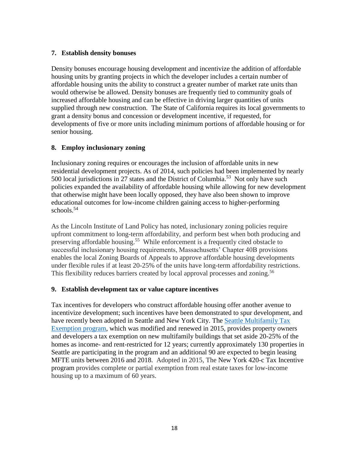#### **7. Establish density bonuses**

Density bonuses encourage housing development and incentivize the addition of affordable housing units by granting projects in which the developer includes a certain number of affordable housing units the ability to construct a greater number of market rate units than would otherwise be allowed. Density bonuses are frequently tied to community goals of increased affordable housing and can be effective in driving larger quantities of units supplied through new construction. The State of California requires its local governments to grant a density bonus and concession or development incentive, if requested, for developments of five or more units including minimum portions of affordable housing or for senior housing.

#### **8. Employ inclusionary zoning**

Inclusionary zoning requires or encourages the inclusion of affordable units in new residential development projects. As of 2014, such policies had been implemented by nearly 500 local jurisdictions in 27 states and the District of Columbia.<sup>53</sup> Not only have such policies expanded the availability of affordable housing while allowing for new development that otherwise might have been locally opposed, they have also been shown to improve educational outcomes for low-income children gaining access to higher-performing schools. $54$ 

As the Lincoln Institute of Land Policy has noted, inclusionary zoning policies require upfront commitment to long-term affordability, and perform best when both producing and preserving affordable housing.<sup>55</sup> While enforcement is a frequently cited obstacle to successful inclusionary housing requirements, Massachusetts' Chapter 40B provisions enables the local Zoning Boards of Appeals to approve affordable housing developments under flexible rules if at least 20-25% of the units have long-term affordability restrictions. This flexibility reduces barriers created by local approval processes and zoning.<sup>56</sup>

#### **9. Establish development tax or value capture incentives**

Tax incentives for developers who construct affordable housing offer another avenue to incentivize development; such incentives have been demonstrated to spur development, and have recently been adopted in Seattle and New York City. The [Seattle Multifamily Tax](http://www.seattle.gov/housing/housing-developers/multifamily-tax-exemption)  [Exemption](http://www.seattle.gov/housing/housing-developers/multifamily-tax-exemption) program, which was modified and renewed in 2015, provides property owners and developers a tax exemption on new multifamily buildings that set aside 20-25% of the homes as income- and rent-restricted for 12 years; currently approximately 130 properties in Seattle are participating in the program and an additional 90 are expected to begin leasing MFTE units between 2016 and 2018. Adopted in 2015, The New York 420-c Tax Incentive program provides complete or partial exemption from real estate taxes for low-income housing up to a maximum of 60 years.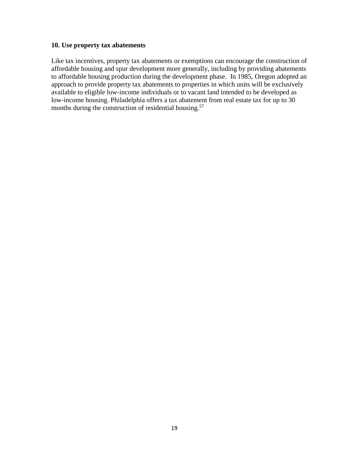#### **10. Use property tax abatements**

Like tax incentives, property tax abatements or exemptions can encourage the construction of affordable housing and spur development more generally, including by providing abatements to affordable housing production during the development phase. In 1985, Oregon adopted an approach to provide property tax abatements to properties in which units will be exclusively available to eligible low-income individuals or to vacant land intended to be developed as low-income housing. Philadelphia offers a tax abatement from real estate tax for up to 30 months during the construction of residential housing.<sup>57</sup>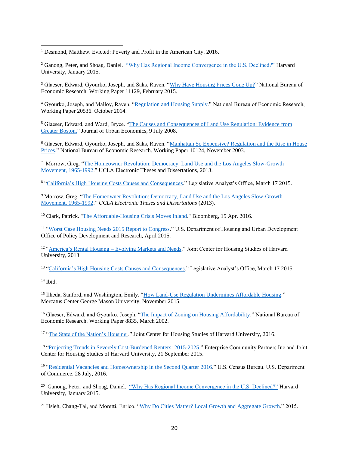<sup>1</sup> Desmond, Matthew. Evicted: Poverty and Profit in the American City. 2016.  $\overline{\phantom{a}}$ 

<sup>2</sup> Ganong, Peter, and Shoag, Daniel. ["Why Has Regional Income Convergence in the U.S. Declined?"](http://scholar.harvard.edu/files/shoag/files/why_has_regional_income_convergence_in_the_us_declined_01.pdf) Harvard University, January 2015.

<sup>3</sup> Glaeser, Edward, Gyourko, Joseph, and Saks, Raven. ["Why Have Housing Prices Gone Up?"](http://www.nber.org/papers/w11129.pdf) National Bureau of Economic Research. Working Paper 11129, February 2015.

<sup>4</sup> Gyourko, Joseph, and Malloy, Raven. ["Regulation and Housing Supply."](http://www.nber.org/papers/w20536.pdf) National Bureau of Economic Research, Working Paper 20536. October 2014.

<sup>5</sup> Glaeser, Edward, and Ward, Bryce. ["The Causes and Consequences of Land Use Regulation: Evidence from](http://scholar.harvard.edu/files/glaeser/files/the_causes_and_consequences_of_land_use_regulation_evidence_from_greater_boston_2009.pdf)  [Greater Boston."](http://scholar.harvard.edu/files/glaeser/files/the_causes_and_consequences_of_land_use_regulation_evidence_from_greater_boston_2009.pdf) Journal of Urban Economics, 9 July 2008.

<sup>6</sup> Glaeser, Edward, Gyourko, Joseph, and Saks, Raven. "Manhattan So Expensive? Regulation and the Rise in House [Prices.](http://www.nber.org/papers/w10124)" National Bureau of Economic Research. Working Paper 10124, November 2003.

<sup>7</sup> Morrow, Greg. "The Homeowner Revolution: Democracy, Land Use and the Los Angeles Slow-Growth [Movement, 1965-1992.](https://escholarship.org/uc/item/6k64g20f#page-1)" UCLA Electronic Theses and Dissertations, 2013.

<sup>8</sup> ["California's High Housing Costs Causes and Consequences.](http://www.lao.ca.gov/reports/2015/finance/housing-costs/housing-costs.pdf)" Legislative Analyst's Office, March 17 2015.

<sup>9</sup> Morrow, Greg. "The Homeowner Revolution: Democracy, Land Use and the Los Angeles Slow-Growth [Movement, 1965-1992.](https://escholarship.org/uc/item/6k64g20f#page-1)" *UCLA Electronic Theses and Dissertations* (2013).

<sup>10</sup> Clark, Patrick. ["The Affordable-Housing Crisis Moves Inland."](http://www.bloomberg.com/news/articles/2016-04-15/the-affordable-housing-crisis-moves-inland) Bloomberg, 15 Apr. 2016.

<sup>11</sup> ["Worst Case Housing Needs 2015 Report to Congress.](https://www.huduser.gov/portal/Publications/pdf/WorstCaseNeeds_2015.pdf)" U.S. Department of Housing and Urban Development | Office of Policy Development and Research, April 2015.

<sup>12</sup> "America's Rental Housing – [Evolving Markets and Needs."](http://www.jchs.harvard.edu/sites/jchs.harvard.edu/files/jchs_americas_rental_housing_2013_1_0.pdf) Joint Center for Housing Studies of Harvard University, 2013.

<sup>13</sup> ["California's High Housing Costs Causes and Consequences."](http://www.lao.ca.gov/reports/2015/finance/housing-costs/housing-costs.pdf) Legislative Analyst's Office, March 17 2015.

<sup>14</sup> Ibid.

<sup>15</sup> Ilkeda, Sanford, and Washington, Emily. ["How Land-Use Regulation Undermines Affordable Housing.](http://mercatus.org/sites/default/files/Ikeda-Land-Use-Regulation.pdf)" Mercatus Center George Mason University, November 2015.

<sup>16</sup> Glaeser, Edward, and Gyourko, Joseph. ["The Impact of Zoning on Housing Affordability.](http://www.nber.org/papers/w8835.pdf)" National Bureau of Economic Research. Working Paper 8835, March 2002.

<sup>17</sup> ["The State of the Nation's Housing .](http://www.jchs.harvard.edu/sites/jchs.harvard.edu/files/jchs_2016_state_of_the_nations_housing_lowres.pdf?_ga=1.54735790.489975938.1466601919)" Joint Center for Housing Studies of Harvard University, 2016.

<sup>18</sup> ["Projecting Trends in Severely Cost-Burdened Renters: 2015-2025.](http://www.jchs.harvard.edu/sites/jchs.harvard.edu/files/projecting_trends_in_severely_cost-burdened_renters_final.pdf)" Enterprise Community Partners Inc and Joint Center for Housing Studies of Harvard University, 21 September 2015.

<sup>19</sup> ["Residential Vacancies and Homeownership in the Second Quarter 2016.](http://www.census.gov/housing/hvs/files/currenthvspress.pdf)" U.S. Census Bureau. U.S. Department of Commerce. 28 July, 2016.

<sup>20</sup> Ganong, Peter, and Shoag, Daniel. ["Why Has Regional Income Convergence in the U.S. Declined?"](http://scholar.harvard.edu/files/shoag/files/why_has_regional_income_convergence_in_the_us_declined_01.pdf) Harvard University, January 2015.

<sup>21</sup> Hsieh, Chang-Tai, and Moretti, Enrico. ["Why Do Cities Matter? Local Growth and Aggregate Growth.](http://faculty.chicagobooth.edu/chang-tai.hsieh/research/growth.pdf)" 2015.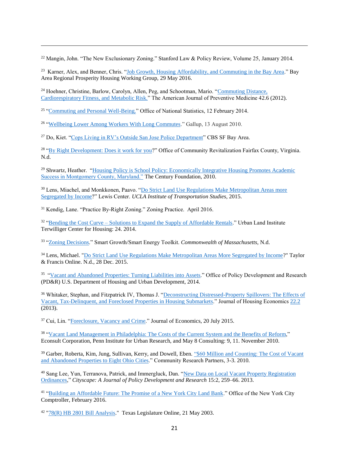<sup>22</sup> Mangin, John. "The New Exclusionary Zoning." Stanford Law & Policy Review, Volume 25, January 2014.

<sup>23</sup> Karner, Alex, and Benner, Chris. "<u>Job Growth, Housing Affordability, and Commuting in the Bay Area.</u>" Bay Area Regional Prosperity Housing Working Group, 29 May 2016.

<sup>24</sup> Hoehner, Christine, Barlow, Carolyn, Allen, Peg, and Schootman, Mario. "Commuting Distance, [Cardiorespiratory Fitness, and Metabolic Risk."](http://www.ncbi.nlm.nih.gov/pmc/articles/PMC3360418/) The American Journal of Preventive Medicine 42.6 (2012).

<sup>25</sup> ["Commuting and Personal Well-Being."](http://webarchive.nationalarchives.gov.uk/20160105160709/http:/www.ons.gov.uk/ons/dcp171766_351954.pdf) Office of National Statistics, 12 February 2014.

<sup>26</sup> ["Wellbeing Lower Among Workers With Long Commutes.](http://www.gallup.com/poll/142142/wellbeing-lower-among-workers-long-commutes.aspx)" Gallup, 13 August 2010.

 $\overline{\phantom{a}}$ 

<sup>27</sup> Do, Kiet. ["Cops Living in RV's Outside San Jose Police Department"](http://sanfrancisco.cbslocal.com/2016/08/25/cops-living-in-rvs-outside-san-jose-police-department/) CBS SF Bay Area.

<sup>28</sup> ["By Right Development: Does it work for you?](http://www.fcrevit.org/programs/byright.htm)" Office of Community Revitalization Fairfax County, Virginia. N.d.

<sup>29</sup> Shwartz, Heather. ["Housing Policy is School Policy: Economically Integrative Housing Promotes Academic](https://tcf.org/assets/downloads/tcf-Schwartz.pdf)  [Success in Montgomery County, Maryland."](https://tcf.org/assets/downloads/tcf-Schwartz.pdf) The Century Foundation, 2010.

<sup>30</sup> Lens, Miachel, and Monkkonen, Paavo. "Do Strict Land Use Regulations Make Metropolitan Areas more [Segregated by Income?](http://www.anderson.ucla.edu/Documents/areas/ctr/ziman/2015-04WP.pdf)" Lewis Center. *UCLA Institute of Transportation Studies*, 2015.

<sup>31</sup> Kendig, Lane. "Practice By-Right Zoning." Zoning Practice. April 2016.

<sup>32</sup> "Bending the Cost Curve – [Solutions to Expand the Supply of Affordable Rentals.](http://uli.org/wp-content/uploads/ULI-Documents/BendingCostCurve-Solutions_2014_web.pdf)" Urban Land Institute Terwilliger Center for Housing: 24. 2014.

33 ["Zoning Decisions."](http://www.mass.gov/envir/smart_growth_toolkit/pages/mod-zoning.html) Smart Growth/Smart Energy Toolkit. *Commonwealth of Massachusetts,* N.d.

<sup>34</sup> Lens, Michael. ["Do Strict Land Use Regulations Make Metropolitan Areas More Segregated by Income?](http://www.tandfonline.com/doi/full/10.1080/01944363.2015.1111163)" Taylor & Francis Online. N.d., 28 Dec. 2015.

<sup>35</sup> "Vacant and Abandoned [Properties: Turning Liabilities into Assets.](https://www.huduser.gov/portal/periodicals/em/winter14/highlight1.html)" Office of Policy Development and Research (PD&R) U.S. Department of Housing and Urban Development, 2014.

<sup>36</sup> Whitaker, Stephan, and Fitzpatrick IV, Thomas J. "Deconstructing [Distressed-Property](http://www.clevelandfed.org/research/workpaper/2011/wp1123r.pdf) Spillovers: The Effects of Vacant, [Tax-Delinquent,](http://www.clevelandfed.org/research/workpaper/2011/wp1123r.pdf) and Foreclosed Properties in Housing Submarkets." Journal of Housing Economics [22.2](http://www.sciencedirect.com/science/journal/10511377/22/2) (2013).

<sup>37</sup> Cui, Lin. ["Foreclosure,](https://nebula.wsimg.com/d980e4e5baadefcd21613e54b1f16c89?AccessKeyId=F340BF06EC607A055B24&disposition=0&alloworigin=1) Vacancy and Crime." Journal of Economics, 20 July 2015.

<sup>38</sup> "Vacant Land Management in [Philadelphia:](http://www.econsult.com/projectreports/VacantLandFullReportForWeb.pdf) The Costs of the Current System and the Benefits of Reform," Econsult Corporation, Penn Institute for Urban Research, and May 8 Consulting: 9, 11. November 2010.

<sup>39</sup> Garber, Roberta, Kim, Jung, Sullivan, Kerry, and Dowell, Eben. "\$60 Million and [Counting:](http://communityresearchpartners.org/uploads/publications/FullReport_Nonembargoed.pdf) The Cost of Vacant and [Abandoned](http://communityresearchpartners.org/uploads/publications/FullReport_Nonembargoed.pdf) Properties to Eight Ohio Cities." Community Research Partners, 3-3. 2010.

<sup>40</sup> Sang Lee, Yun, Terranova, Patrick, and Immergluck, Dan. "New Data on Local Vacant Property [Registration](http://www.huduser.org/portal/periodicals/cityscpe/vol15num2/ch22.pdf) [Ordinances,](http://www.huduser.org/portal/periodicals/cityscpe/vol15num2/ch22.pdf)" *Cityscape: A Journal of Policy Development and Research* 15:2, 259–66. 2013.

<sup>41</sup> ["Building an Affordable Future: The Promise of a New York City Land Bank.](http://comptroller.nyc.gov/wp-content/uploads/documents/The_Case_for_A_New_York_City_Land_Bank.pdf)" Office of the New York City Comptroller, February 2016.

 $42$  " $78(R)$  HB 2801 Bill Analysis." Texas Legislature Online, 21 May 2003.